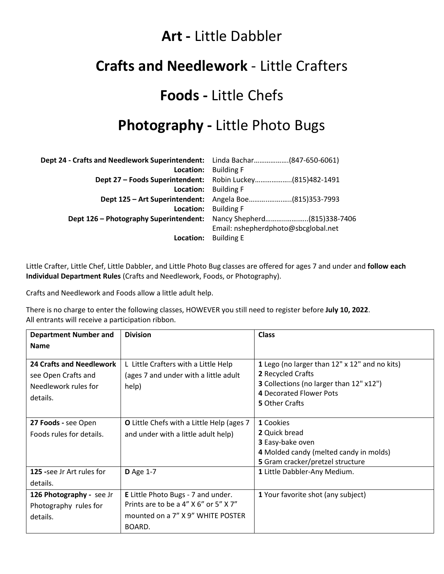#### **Art -** Little Dabbler

#### **Crafts and Needlework** - Little Crafters

## **Foods -** Little Chefs

## **Photography -** Little Photo Bugs

| Dept 24 - Crafts and Needlework Superintendent: Linda Bachar(847-650-6061) |                                                           |  |
|----------------------------------------------------------------------------|-----------------------------------------------------------|--|
| Location:                                                                  | <b>Building F</b>                                         |  |
|                                                                            | Dept 27 - Foods Superintendent: Robin Luckey(815)482-1491 |  |
| Location:                                                                  | <b>Building F</b>                                         |  |
| Dept 125 - Art Superintendent:                                             | Angela Boe(815)353-7993                                   |  |
| Location:                                                                  | <b>Building F</b>                                         |  |
| Dept 126 - Photography Superintendent:                                     | Nancy Shepherd(815)338-7406                               |  |
|                                                                            | Email: nshepherdphoto@sbcglobal.net                       |  |
| Location:                                                                  | <b>Building E</b>                                         |  |

Little Crafter, Little Chef, Little Dabbler, and Little Photo Bug classes are offered for ages 7 and under and **follow each Individual Department Rules** (Crafts and Needlework, Foods, or Photography).

Crafts and Needlework and Foods allow a little adult help.

There is no charge to enter the following classes, HOWEVER you still need to register before **July 10, 2022**. All entrants will receive a participation ribbon.

| <b>Department Number and</b>                                                               | <b>Division</b>                                                                                                                   | <b>Class</b>                                                                                                                                                      |  |
|--------------------------------------------------------------------------------------------|-----------------------------------------------------------------------------------------------------------------------------------|-------------------------------------------------------------------------------------------------------------------------------------------------------------------|--|
| <b>Name</b>                                                                                |                                                                                                                                   |                                                                                                                                                                   |  |
| <b>24 Crafts and Needlework</b><br>see Open Crafts and<br>Needlework rules for<br>details. | L Little Crafters with a Little Help<br>(ages 7 and under with a little adult<br>help)                                            | 1 Lego (no larger than 12" x 12" and no kits)<br>2 Recycled Crafts<br>3 Collections (no larger than 12" x12")<br>4 Decorated Flower Pots<br><b>5</b> Other Crafts |  |
| 27 Foods - see Open<br>Foods rules for details.                                            | <b>O</b> Little Chefs with a Little Help (ages 7<br>and under with a little adult help)                                           | 1 Cookies<br>2 Quick bread<br>3 Easy-bake oven<br>4 Molded candy (melted candy in molds)<br>5 Gram cracker/pretzel structure                                      |  |
| <b>125</b> -see Jr Art rules for<br>details.                                               | <b>D</b> Age 1-7                                                                                                                  | 1 Little Dabbler-Any Medium.                                                                                                                                      |  |
| 126 Photography - see Jr<br>Photography rules for<br>details.                              | <b>E</b> Little Photo Bugs - 7 and under.<br>Prints are to be a 4" X 6" or 5" X 7"<br>mounted on a 7" X 9" WHITE POSTER<br>BOARD. | 1 Your favorite shot (any subject)                                                                                                                                |  |